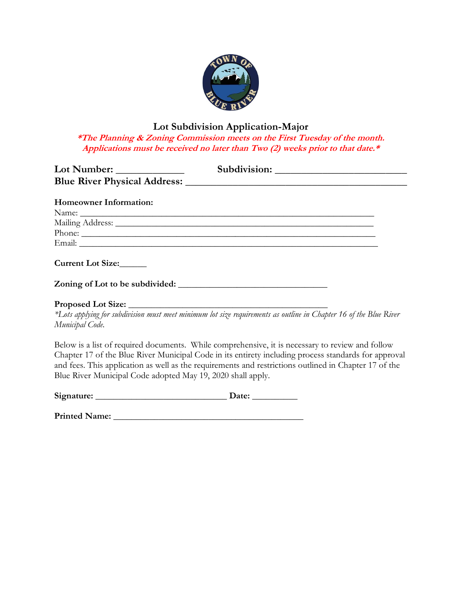

### **Lot Subdivision Application-Major**

**\*The Planning & Zoning Commission meets on the First Tuesday of the month. Applications must be received no later than Two (2) weeks prior to that date.\***

| <b>Homeowner Information:</b>   |                                                                                                                   |
|---------------------------------|-------------------------------------------------------------------------------------------------------------------|
|                                 |                                                                                                                   |
|                                 | Mailing Address: National Communication of the Mailing Address:                                                   |
|                                 | Phone:                                                                                                            |
|                                 |                                                                                                                   |
| Current Lot Size:               |                                                                                                                   |
| Zoning of Lot to be subdivided: |                                                                                                                   |
|                                 |                                                                                                                   |
|                                 | *Lots applying for subdivision must meet minimum lot size requirements as outline in Chapter 16 of the Blue River |
| Municipal Code.                 |                                                                                                                   |

Below is a list of required documents. While comprehensive, it is necessary to review and follow Chapter 17 of the Blue River Municipal Code in its entirety including process standards for approval and fees. This application as well as the requirements and restrictions outlined in Chapter 17 of the Blue River Municipal Code adopted May 19, 2020 shall apply.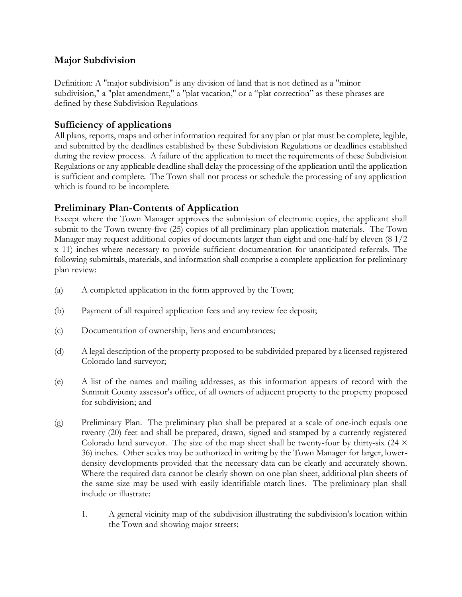### **Major Subdivision**

Definition: A "major subdivision" is any division of land that is not defined as a "minor subdivision," a "plat amendment," a "plat vacation," or a "plat correction" as these phrases are defined by these Subdivision Regulations

# **Sufficiency of applications**

All plans, reports, maps and other information required for any plan or plat must be complete, legible, and submitted by the deadlines established by these Subdivision Regulations or deadlines established during the review process. A failure of the application to meet the requirements of these Subdivision Regulations or any applicable deadline shall delay the processing of the application until the application is sufficient and complete. The Town shall not process or schedule the processing of any application which is found to be incomplete.

# **Preliminary Plan-Contents of Application**

Except where the Town Manager approves the submission of electronic copies, the applicant shall submit to the Town twenty-five (25) copies of all preliminary plan application materials. The Town Manager may request additional copies of documents larger than eight and one-half by eleven (8 1/2 x 11) inches where necessary to provide sufficient documentation for unanticipated referrals. The following submittals, materials, and information shall comprise a complete application for preliminary plan review:

- (a) A completed application in the form approved by the Town;
- (b) Payment of all required application fees and any review fee deposit;
- (c) Documentation of ownership, liens and encumbrances;
- (d) A legal description of the property proposed to be subdivided prepared by a licensed registered Colorado land surveyor;
- (e) A list of the names and mailing addresses, as this information appears of record with the Summit County assessor's office, of all owners of adjacent property to the property proposed for subdivision; and
- (g) Preliminary Plan. The preliminary plan shall be prepared at a scale of one-inch equals one twenty (20) feet and shall be prepared, drawn, signed and stamped by a currently registered Colorado land surveyor. The size of the map sheet shall be twenty-four by thirty-six  $(24 \times$ 36) inches. Other scales may be authorized in writing by the Town Manager for larger, lowerdensity developments provided that the necessary data can be clearly and accurately shown. Where the required data cannot be clearly shown on one plan sheet, additional plan sheets of the same size may be used with easily identifiable match lines. The preliminary plan shall include or illustrate:
	- 1. A general vicinity map of the subdivision illustrating the subdivision's location within the Town and showing major streets;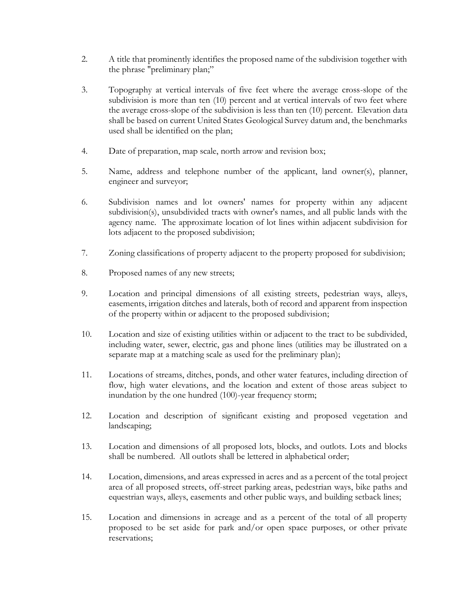- 2. A title that prominently identifies the proposed name of the subdivision together with the phrase "preliminary plan;"
- 3. Topography at vertical intervals of five feet where the average cross-slope of the subdivision is more than ten (10) percent and at vertical intervals of two feet where the average cross-slope of the subdivision is less than ten (10) percent. Elevation data shall be based on current United States Geological Survey datum and, the benchmarks used shall be identified on the plan;
- 4. Date of preparation, map scale, north arrow and revision box;
- 5. Name, address and telephone number of the applicant, land owner(s), planner, engineer and surveyor;
- 6. Subdivision names and lot owners' names for property within any adjacent subdivision(s), unsubdivided tracts with owner's names, and all public lands with the agency name. The approximate location of lot lines within adjacent subdivision for lots adjacent to the proposed subdivision;
- 7. Zoning classifications of property adjacent to the property proposed for subdivision;
- 8. Proposed names of any new streets;
- 9. Location and principal dimensions of all existing streets, pedestrian ways, alleys, easements, irrigation ditches and laterals, both of record and apparent from inspection of the property within or adjacent to the proposed subdivision;
- 10. Location and size of existing utilities within or adjacent to the tract to be subdivided, including water, sewer, electric, gas and phone lines (utilities may be illustrated on a separate map at a matching scale as used for the preliminary plan);
- 11. Locations of streams, ditches, ponds, and other water features, including direction of flow, high water elevations, and the location and extent of those areas subject to inundation by the one hundred (100)-year frequency storm;
- 12. Location and description of significant existing and proposed vegetation and landscaping;
- 13. Location and dimensions of all proposed lots, blocks, and outlots. Lots and blocks shall be numbered. All outlots shall be lettered in alphabetical order;
- 14. Location, dimensions, and areas expressed in acres and as a percent of the total project area of all proposed streets, off-street parking areas, pedestrian ways, bike paths and equestrian ways, alleys, easements and other public ways, and building setback lines;
- 15. Location and dimensions in acreage and as a percent of the total of all property proposed to be set aside for park and/or open space purposes, or other private reservations;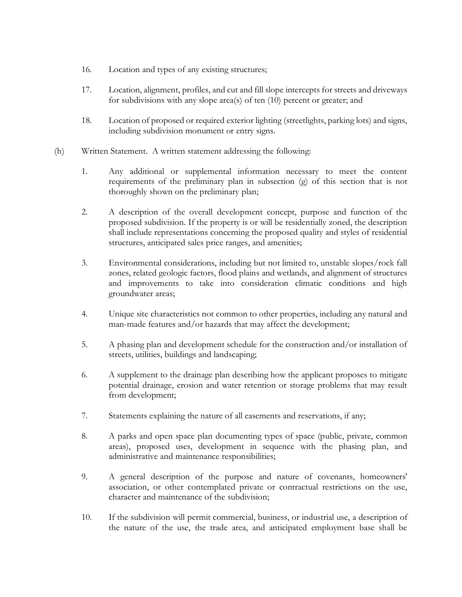- 16. Location and types of any existing structures;
- 17. Location, alignment, profiles, and cut and fill slope intercepts for streets and driveways for subdivisions with any slope area(s) of ten (10) percent or greater; and
- 18. Location of proposed or required exterior lighting (streetlights, parking lots) and signs, including subdivision monument or entry signs.
- (h) Written Statement. A written statement addressing the following:
	- 1. Any additional or supplemental information necessary to meet the content requirements of the preliminary plan in subsection (g) of this section that is not thoroughly shown on the preliminary plan;
	- 2. A description of the overall development concept, purpose and function of the proposed subdivision. If the property is or will be residentially zoned, the description shall include representations concerning the proposed quality and styles of residential structures, anticipated sales price ranges, and amenities;
	- 3. Environmental considerations, including but not limited to, unstable slopes/rock fall zones, related geologic factors, flood plains and wetlands, and alignment of structures and improvements to take into consideration climatic conditions and high groundwater areas;
	- 4. Unique site characteristics not common to other properties, including any natural and man-made features and/or hazards that may affect the development;
	- 5. A phasing plan and development schedule for the construction and/or installation of streets, utilities, buildings and landscaping;
	- 6. A supplement to the drainage plan describing how the applicant proposes to mitigate potential drainage, erosion and water retention or storage problems that may result from development;
	- 7. Statements explaining the nature of all easements and reservations, if any;
	- 8. A parks and open space plan documenting types of space (public, private, common areas), proposed uses, development in sequence with the phasing plan, and administrative and maintenance responsibilities;
	- 9. A general description of the purpose and nature of covenants, homeowners' association, or other contemplated private or contractual restrictions on the use, character and maintenance of the subdivision;
	- 10. If the subdivision will permit commercial, business, or industrial use, a description of the nature of the use, the trade area, and anticipated employment base shall be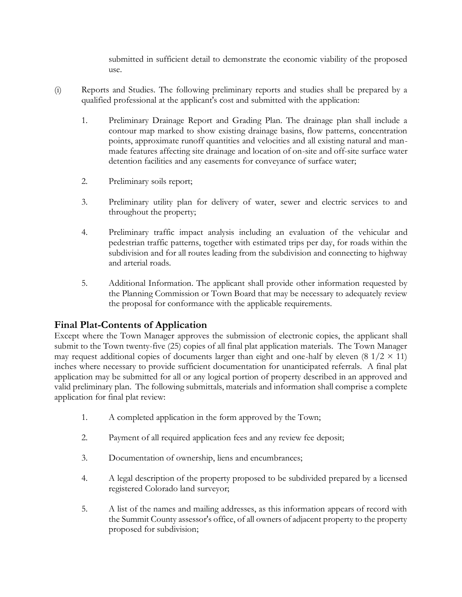submitted in sufficient detail to demonstrate the economic viability of the proposed use.

- (i) Reports and Studies. The following preliminary reports and studies shall be prepared by a qualified professional at the applicant's cost and submitted with the application:
	- 1. Preliminary Drainage Report and Grading Plan. The drainage plan shall include a contour map marked to show existing drainage basins, flow patterns, concentration points, approximate runoff quantities and velocities and all existing natural and manmade features affecting site drainage and location of on-site and off-site surface water detention facilities and any easements for conveyance of surface water;
	- 2. Preliminary soils report;
	- 3. Preliminary utility plan for delivery of water, sewer and electric services to and throughout the property;
	- 4. Preliminary traffic impact analysis including an evaluation of the vehicular and pedestrian traffic patterns, together with estimated trips per day, for roads within the subdivision and for all routes leading from the subdivision and connecting to highway and arterial roads.
	- 5. Additional Information. The applicant shall provide other information requested by the Planning Commission or Town Board that may be necessary to adequately review the proposal for conformance with the applicable requirements.

#### **Final Plat-Contents of Application**

Except where the Town Manager approves the submission of electronic copies, the applicant shall submit to the Town twenty-five (25) copies of all final plat application materials. The Town Manager may request additional copies of documents larger than eight and one-half by eleven  $(8 \frac{1}{2} \times 11)$ inches where necessary to provide sufficient documentation for unanticipated referrals. A final plat application may be submitted for all or any logical portion of property described in an approved and valid preliminary plan. The following submittals, materials and information shall comprise a complete application for final plat review:

- 1. A completed application in the form approved by the Town;
- 2. Payment of all required application fees and any review fee deposit;
- 3. Documentation of ownership, liens and encumbrances;
- 4. A legal description of the property proposed to be subdivided prepared by a licensed registered Colorado land surveyor;
- 5. A list of the names and mailing addresses, as this information appears of record with the Summit County assessor's office, of all owners of adjacent property to the property proposed for subdivision;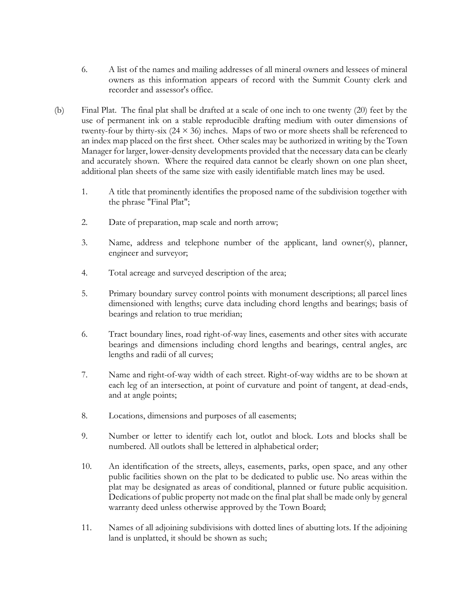- 6. A list of the names and mailing addresses of all mineral owners and lessees of mineral owners as this information appears of record with the Summit County clerk and recorder and assessor's office.
- (b) Final Plat. The final plat shall be drafted at a scale of one inch to one twenty (20) feet by the use of permanent ink on a stable reproducible drafting medium with outer dimensions of twenty-four by thirty-six  $(24 \times 36)$  inches. Maps of two or more sheets shall be referenced to an index map placed on the first sheet. Other scales may be authorized in writing by the Town Manager for larger, lower-density developments provided that the necessary data can be clearly and accurately shown. Where the required data cannot be clearly shown on one plan sheet, additional plan sheets of the same size with easily identifiable match lines may be used.
	- 1. A title that prominently identifies the proposed name of the subdivision together with the phrase "Final Plat";
	- 2. Date of preparation, map scale and north arrow;
	- 3. Name, address and telephone number of the applicant, land owner(s), planner, engineer and surveyor;
	- 4. Total acreage and surveyed description of the area;
	- 5. Primary boundary survey control points with monument descriptions; all parcel lines dimensioned with lengths; curve data including chord lengths and bearings; basis of bearings and relation to true meridian;
	- 6. Tract boundary lines, road right-of-way lines, easements and other sites with accurate bearings and dimensions including chord lengths and bearings, central angles, arc lengths and radii of all curves;
	- 7. Name and right-of-way width of each street. Right-of-way widths are to be shown at each leg of an intersection, at point of curvature and point of tangent, at dead-ends, and at angle points;
	- 8. Locations, dimensions and purposes of all easements;
	- 9. Number or letter to identify each lot, outlot and block. Lots and blocks shall be numbered. All outlots shall be lettered in alphabetical order;
	- 10. An identification of the streets, alleys, easements, parks, open space, and any other public facilities shown on the plat to be dedicated to public use. No areas within the plat may be designated as areas of conditional, planned or future public acquisition. Dedications of public property not made on the final plat shall be made only by general warranty deed unless otherwise approved by the Town Board;
	- 11. Names of all adjoining subdivisions with dotted lines of abutting lots. If the adjoining land is unplatted, it should be shown as such;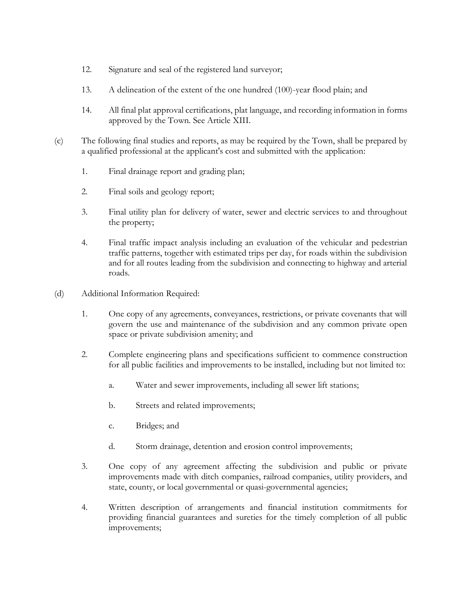- 12. Signature and seal of the registered land surveyor;
- 13. A delineation of the extent of the one hundred (100)-year flood plain; and
- 14. All final plat approval certifications, plat language, and recording information in forms approved by the Town. See Article XIII.
- (c) The following final studies and reports, as may be required by the Town, shall be prepared by a qualified professional at the applicant's cost and submitted with the application:
	- 1. Final drainage report and grading plan;
	- 2. Final soils and geology report;
	- 3. Final utility plan for delivery of water, sewer and electric services to and throughout the property;
	- 4. Final traffic impact analysis including an evaluation of the vehicular and pedestrian traffic patterns, together with estimated trips per day, for roads within the subdivision and for all routes leading from the subdivision and connecting to highway and arterial roads.
- (d) Additional Information Required:
	- 1. One copy of any agreements, conveyances, restrictions, or private covenants that will govern the use and maintenance of the subdivision and any common private open space or private subdivision amenity; and
	- 2. Complete engineering plans and specifications sufficient to commence construction for all public facilities and improvements to be installed, including but not limited to:
		- a. Water and sewer improvements, including all sewer lift stations;
		- b. Streets and related improvements;
		- c. Bridges; and
		- d. Storm drainage, detention and erosion control improvements;
	- 3. One copy of any agreement affecting the subdivision and public or private improvements made with ditch companies, railroad companies, utility providers, and state, county, or local governmental or quasi-governmental agencies;
	- 4. Written description of arrangements and financial institution commitments for providing financial guarantees and sureties for the timely completion of all public improvements;